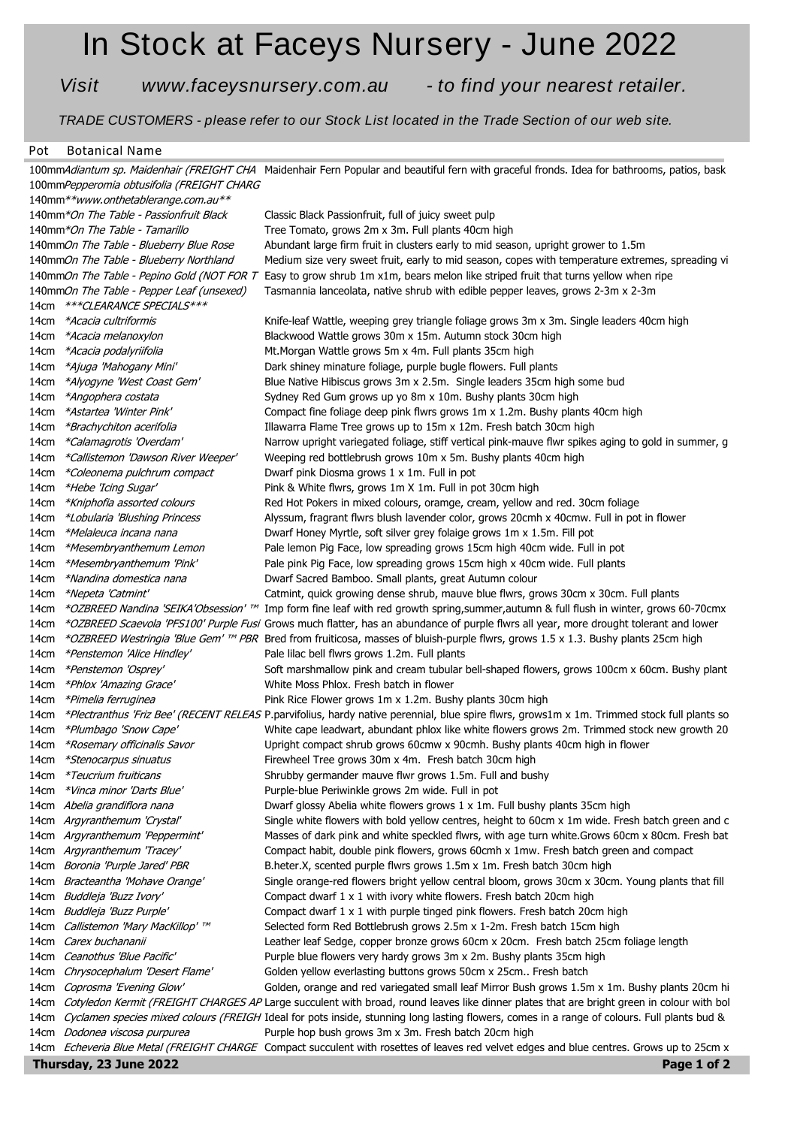## **In Stock at Faceys Nursery - June 2022**

*Visit www.faceysnursery.com.au - to find your nearest retailer.*

*TRADE CUSTOMERS - please refer to our Stock List located in the Trade Section of our web site.*

## **Pot Botanical Name**

| 100mmAdiantum sp. Maidenhair (FREIGHT CHA Maidenhair Fern Popular and beautiful fern with graceful fronds. Idea for bathrooms, patios, bask |                                           |                                                                                                                                                                                                         |
|---------------------------------------------------------------------------------------------------------------------------------------------|-------------------------------------------|---------------------------------------------------------------------------------------------------------------------------------------------------------------------------------------------------------|
| 100mmPepperomia obtusifolia (FREIGHT CHARG                                                                                                  |                                           |                                                                                                                                                                                                         |
| 140mm**www.onthetablerange.com.au**                                                                                                         |                                           |                                                                                                                                                                                                         |
|                                                                                                                                             | 140mm*On The Table - Passionfruit Black   | Classic Black Passionfruit, full of juicy sweet pulp                                                                                                                                                    |
|                                                                                                                                             | 140mm*On The Table - Tamarillo            | Tree Tomato, grows 2m x 3m. Full plants 40cm high                                                                                                                                                       |
|                                                                                                                                             | 140mmOn The Table - Blueberry Blue Rose   | Abundant large firm fruit in clusters early to mid season, upright grower to 1.5m                                                                                                                       |
|                                                                                                                                             | 140mmOn The Table - Blueberry Northland   | Medium size very sweet fruit, early to mid season, copes with temperature extremes, spreading vi                                                                                                        |
|                                                                                                                                             |                                           | 140mmOn The Table - Pepino Gold (NOT FOR T Easy to grow shrub 1m x1m, bears melon like striped fruit that turns yellow when ripe                                                                        |
|                                                                                                                                             | 140mmOn The Table - Pepper Leaf (unsexed) | Tasmannia lanceolata, native shrub with edible pepper leaves, grows 2-3m x 2-3m                                                                                                                         |
|                                                                                                                                             | 14cm *** CLEARANCE SPECIALS***            |                                                                                                                                                                                                         |
| 14cm                                                                                                                                        | *Acacia cultriformis                      | Knife-leaf Wattle, weeping grey triangle foliage grows 3m x 3m. Single leaders 40cm high                                                                                                                |
| 14cm                                                                                                                                        | *Acacia melanoxylon                       | Blackwood Wattle grows 30m x 15m. Autumn stock 30cm high                                                                                                                                                |
| 14cm                                                                                                                                        | *Acacia podalyriifolia                    | Mt. Morgan Wattle grows 5m x 4m. Full plants 35cm high                                                                                                                                                  |
| 14cm                                                                                                                                        | *Ajuga 'Mahogany Mini'                    | Dark shiney minature foliage, purple bugle flowers. Full plants                                                                                                                                         |
| 14cm                                                                                                                                        | *Alyogyne 'West Coast Gem'                | Blue Native Hibiscus grows 3m x 2.5m. Single leaders 35cm high some bud                                                                                                                                 |
| 14cm                                                                                                                                        | *Angophera costata                        | Sydney Red Gum grows up yo 8m x 10m. Bushy plants 30cm high                                                                                                                                             |
| 14cm                                                                                                                                        | *Astartea 'Winter Pink'                   | Compact fine foliage deep pink flwrs grows 1m x 1.2m. Bushy plants 40cm high                                                                                                                            |
| 14cm                                                                                                                                        | *Brachychiton acerifolia                  | Illawarra Flame Tree grows up to 15m x 12m. Fresh batch 30cm high                                                                                                                                       |
| 14cm                                                                                                                                        | *Calamagrotis 'Overdam'                   | Narrow upright variegated foliage, stiff vertical pink-mauve flwr spikes aging to gold in summer, g                                                                                                     |
| 14cm                                                                                                                                        | *Callistemon 'Dawson River Weeper'        | Weeping red bottlebrush grows 10m x 5m. Bushy plants 40cm high                                                                                                                                          |
| 14cm                                                                                                                                        | *Coleonema pulchrum compact               | Dwarf pink Diosma grows 1 x 1m. Full in pot                                                                                                                                                             |
| 14cm                                                                                                                                        | *Hebe 'Icing Sugar'                       | Pink & White flwrs, grows 1m X 1m. Full in pot 30cm high                                                                                                                                                |
| 14cm                                                                                                                                        | *Kniphofia assorted colours               | Red Hot Pokers in mixed colours, oramge, cream, yellow and red. 30cm foliage                                                                                                                            |
| 14cm                                                                                                                                        | *Lobularia 'Blushing Princess             | Alyssum, fragrant flwrs blush lavender color, grows 20cmh x 40cmw. Full in pot in flower                                                                                                                |
| 14cm                                                                                                                                        | *Melaleuca incana nana                    | Dwarf Honey Myrtle, soft silver grey folaige grows 1m x 1.5m. Fill pot                                                                                                                                  |
| 14cm                                                                                                                                        | *Mesembryanthemum Lemon                   | Pale lemon Pig Face, low spreading grows 15cm high 40cm wide. Full in pot                                                                                                                               |
| 14cm                                                                                                                                        | *Mesembryanthemum 'Pink'                  | Pale pink Pig Face, low spreading grows 15cm high x 40cm wide. Full plants                                                                                                                              |
| 14cm                                                                                                                                        | *Nandina domestica nana                   | Dwarf Sacred Bamboo. Small plants, great Autumn colour                                                                                                                                                  |
| 14cm                                                                                                                                        | *Nepeta 'Catmint'                         | Catmint, quick growing dense shrub, mauve blue flwrs, grows 30cm x 30cm. Full plants                                                                                                                    |
| 14cm                                                                                                                                        | *OZBREED Nandina 'SEIKA'Obsession' ™      | Imp form fine leaf with red growth spring, summer, autumn & full flush in winter, grows 60-70cmx                                                                                                        |
| 14cm                                                                                                                                        |                                           | *OZBREED Scaevola 'PFS100' Purple Fusi Grows much flatter, has an abundance of purple flwrs all year, more drought tolerant and lower                                                                   |
| 14cm                                                                                                                                        |                                           | *OZBREED Westringia 'Blue Gem' <sup>TM</sup> PBR Bred from fruiticosa, masses of bluish-purple flwrs, grows 1.5 x 1.3. Bushy plants 25cm high                                                           |
| 14cm                                                                                                                                        | *Penstemon 'Alice Hindley'                | Pale lilac bell flwrs grows 1.2m. Full plants                                                                                                                                                           |
| 14cm                                                                                                                                        | *Penstemon 'Osprey'                       | Soft marshmallow pink and cream tubular bell-shaped flowers, grows 100cm x 60cm. Bushy plant                                                                                                            |
| 14cm                                                                                                                                        | *Phlox 'Amazing Grace'                    | White Moss Phlox. Fresh batch in flower                                                                                                                                                                 |
|                                                                                                                                             | *Pimelia ferruginea                       |                                                                                                                                                                                                         |
| 14cm                                                                                                                                        |                                           | Pink Rice Flower grows 1m x 1.2m. Bushy plants 30cm high<br>*Plectranthus 'Friz Bee' (RECENT RELEAS P.parvifolius, hardy native perennial, blue spire flwrs, grows1m x 1m. Trimmed stock full plants so |
| 14cm                                                                                                                                        |                                           |                                                                                                                                                                                                         |
| 14cm                                                                                                                                        | *Plumbago 'Snow Cape'                     | White cape leadwart, abundant phlox like white flowers grows 2m. Trimmed stock new growth 20                                                                                                            |
| 14cm                                                                                                                                        | *Rosemary officinalis Savor               | Upright compact shrub grows 60cmw x 90cmh. Bushy plants 40cm high in flower                                                                                                                             |
| 14cm                                                                                                                                        | <i>*Stenocarpus sinuatus</i>              | Firewheel Tree grows 30m x 4m. Fresh batch 30cm high                                                                                                                                                    |
|                                                                                                                                             | 14cm *Teucrium fruiticans                 | Shrubby germander mauve flwr grows 1.5m. Full and bushy                                                                                                                                                 |
| 14cm                                                                                                                                        | *Vinca minor 'Darts Blue'                 | Purple-blue Periwinkle grows 2m wide. Full in pot                                                                                                                                                       |
|                                                                                                                                             | 14cm Abelia grandiflora nana              | Dwarf glossy Abelia white flowers grows 1 x 1m. Full bushy plants 35cm high                                                                                                                             |
|                                                                                                                                             | 14cm Argyranthemum 'Crystal'              | Single white flowers with bold yellow centres, height to 60cm x 1m wide. Fresh batch green and c                                                                                                        |
|                                                                                                                                             | 14cm Argyranthemum 'Peppermint'           | Masses of dark pink and white speckled flwrs, with age turn white. Grows 60cm x 80cm. Fresh bat                                                                                                         |
|                                                                                                                                             | 14cm Argyranthemum 'Tracey'               | Compact habit, double pink flowers, grows 60cmh x 1mw. Fresh batch green and compact                                                                                                                    |
|                                                                                                                                             | 14cm Boronia 'Purple Jared' PBR           | B.heter.X, scented purple flwrs grows 1.5m x 1m. Fresh batch 30cm high                                                                                                                                  |
|                                                                                                                                             | 14cm Bracteantha 'Mohave Orange'          | Single orange-red flowers bright yellow central bloom, grows 30cm x 30cm. Young plants that fill                                                                                                        |
|                                                                                                                                             | 14cm Buddleja 'Buzz Ivory'                | Compact dwarf 1 x 1 with ivory white flowers. Fresh batch 20cm high                                                                                                                                     |
|                                                                                                                                             | 14cm Buddleja 'Buzz Purple'               | Compact dwarf 1 x 1 with purple tinged pink flowers. Fresh batch 20cm high                                                                                                                              |
|                                                                                                                                             | 14cm Callistemon 'Mary MacKillop' ™       | Selected form Red Bottlebrush grows 2.5m x 1-2m. Fresh batch 15cm high                                                                                                                                  |
|                                                                                                                                             | 14cm Carex buchananii                     | Leather leaf Sedge, copper bronze grows 60cm x 20cm. Fresh batch 25cm foliage length                                                                                                                    |
|                                                                                                                                             | 14cm Ceanothus 'Blue Pacific'             | Purple blue flowers very hardy grows 3m x 2m. Bushy plants 35cm high                                                                                                                                    |
| 14cm                                                                                                                                        | Chrysocephalum 'Desert Flame'             | Golden yellow everlasting buttons grows 50cm x 25cm Fresh batch                                                                                                                                         |
| 14cm                                                                                                                                        | Coprosma 'Evening Glow'                   | Golden, orange and red variegated small leaf Mirror Bush grows 1.5m x 1m. Bushy plants 20cm hi                                                                                                          |
| 14cm                                                                                                                                        |                                           | Cotyledon Kermit (FREIGHT CHARGES AP Large succulent with broad, round leaves like dinner plates that are bright green in colour with bol                                                               |
| 14cm                                                                                                                                        |                                           | Cyclamen species mixed colours (FREIGH Ideal for pots inside, stunning long lasting flowers, comes in a range of colours. Full plants bud &                                                             |
|                                                                                                                                             | 14cm Dodonea viscosa purpurea             | Purple hop bush grows 3m x 3m. Fresh batch 20cm high                                                                                                                                                    |
|                                                                                                                                             |                                           | 14cm <i>Echeveria Blue Metal (FREIGHT CHARGE</i> Compact succulent with rosettes of leaves red velvet edges and blue centres. Grows up to 25cm x                                                        |
| Thursday, 23 June 2022<br>Page 1 of 2                                                                                                       |                                           |                                                                                                                                                                                                         |